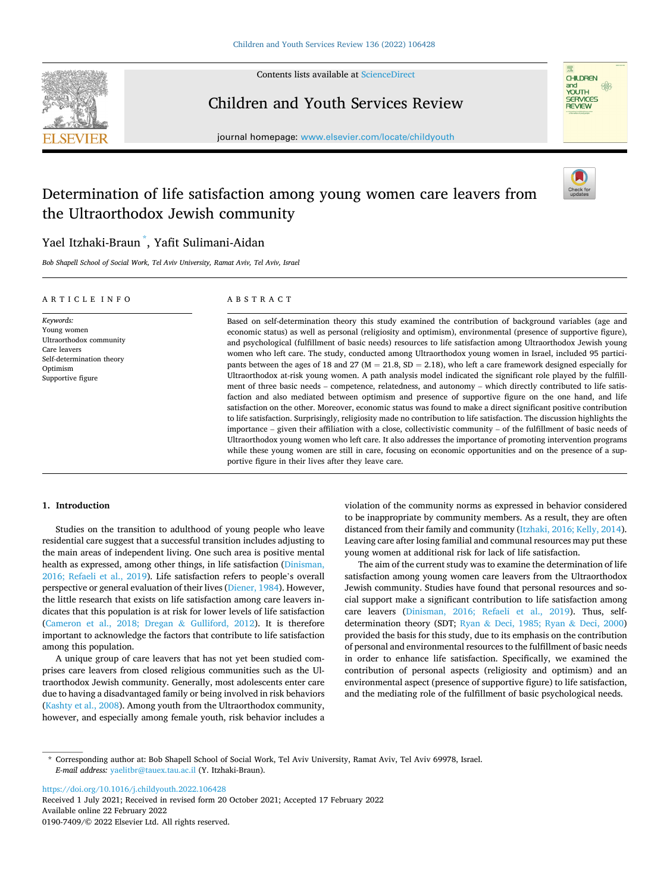

Contents lists available at [ScienceDirect](www.sciencedirect.com/science/journal/01907409)

# Children and Youth Services Review



journal homepage: [www.elsevier.com/locate/childyouth](https://www.elsevier.com/locate/childyouth)

# Determination of life satisfaction among young women care leavers from the Ultraorthodox Jewish community



# Yael Itzhaki-Braun \* , Yafit Sulimani-Aidan

*Bob Shapell School of Social Work, Tel Aviv University, Ramat Aviv, Tel Aviv, Israel* 

| ARTICLE INFO                                                                                                                      | ABSTRACT                                                                                                                                                                                                                                                                                                                                                                                                                                                                                                                                                                                                                                                                                                                                                                                                                                                                                                                                                                                                                                                                                                                                                                                                                                                                                                                                                                                                                                                                                                                                                                                     |
|-----------------------------------------------------------------------------------------------------------------------------------|----------------------------------------------------------------------------------------------------------------------------------------------------------------------------------------------------------------------------------------------------------------------------------------------------------------------------------------------------------------------------------------------------------------------------------------------------------------------------------------------------------------------------------------------------------------------------------------------------------------------------------------------------------------------------------------------------------------------------------------------------------------------------------------------------------------------------------------------------------------------------------------------------------------------------------------------------------------------------------------------------------------------------------------------------------------------------------------------------------------------------------------------------------------------------------------------------------------------------------------------------------------------------------------------------------------------------------------------------------------------------------------------------------------------------------------------------------------------------------------------------------------------------------------------------------------------------------------------|
| Keywords:<br>Young women<br>Ultraorthodox community<br>Care leavers<br>Self-determination theory<br>Optimism<br>Supportive figure | Based on self-determination theory this study examined the contribution of background variables (age and<br>economic status) as well as personal (religiosity and optimism), environmental (presence of supportive figure),<br>and psychological (fulfillment of basic needs) resources to life satisfaction among Ultraorthodox Jewish young<br>women who left care. The study, conducted among Ultraorthodox young women in Israel, included 95 partici-<br>pants between the ages of 18 and 27 ( $M = 21.8$ , $SD = 2.18$ ), who left a care framework designed especially for<br>Ultraorthodox at-risk young women. A path analysis model indicated the significant role played by the fulfill-<br>ment of three basic needs – competence, relatedness, and autonomy – which directly contributed to life satis-<br>faction and also mediated between optimism and presence of supportive figure on the one hand, and life<br>satisfaction on the other. Moreover, economic status was found to make a direct significant positive contribution<br>to life satisfaction. Surprisingly, religiosity made no contribution to life satisfaction. The discussion highlights the<br>importance – given their affiliation with a close, collectivistic community – of the fulfillment of basic needs of<br>Ultraorthodox young women who left care. It also addresses the importance of promoting intervention programs<br>while these young women are still in care, focusing on economic opportunities and on the presence of a sup-<br>portive figure in their lives after they leave care. |

# **1. Introduction**

Studies on the transition to adulthood of young people who leave residential care suggest that a successful transition includes adjusting to the main areas of independent living. One such area is positive mental health as expressed, among other things, in life satisfaction [\(Dinisman,](#page-7-0)  [2016; Refaeli et al., 2019\)](#page-7-0). Life satisfaction refers to people's overall perspective or general evaluation of their lives ([Diener, 1984\)](#page-7-0). However, the little research that exists on life satisfaction among care leavers indicates that this population is at risk for lower levels of life satisfaction ([Cameron et al., 2018; Dregan](#page-7-0) & Gulliford, 2012). It is therefore important to acknowledge the factors that contribute to life satisfaction among this population.

A unique group of care leavers that has not yet been studied comprises care leavers from closed religious communities such as the Ultraorthodox Jewish community. Generally, most adolescents enter care due to having a disadvantaged family or being involved in risk behaviors ([Kashty et al., 2008\)](#page-7-0). Among youth from the Ultraorthodox community, however, and especially among female youth, risk behavior includes a

violation of the community norms as expressed in behavior considered to be inappropriate by community members. As a result, they are often distanced from their family and community [\(Itzhaki, 2016; Kelly, 2014](#page-7-0)). Leaving care after losing familial and communal resources may put these young women at additional risk for lack of life satisfaction.

The aim of the current study was to examine the determination of life satisfaction among young women care leavers from the Ultraorthodox Jewish community. Studies have found that personal resources and social support make a significant contribution to life satisfaction among care leavers [\(Dinisman, 2016; Refaeli et al., 2019\)](#page-7-0). Thus, selfdetermination theory (SDT; Ryan & [Deci, 1985; Ryan](#page-7-0) & Deci, 2000) provided the basis for this study, due to its emphasis on the contribution of personal and environmental resources to the fulfillment of basic needs in order to enhance life satisfaction. Specifically, we examined the contribution of personal aspects (religiosity and optimism) and an environmental aspect (presence of supportive figure) to life satisfaction, and the mediating role of the fulfillment of basic psychological needs.

<https://doi.org/10.1016/j.childyouth.2022.106428>

Available online 22 February 2022 0190-7409/© 2022 Elsevier Ltd. All rights reserved. Received 1 July 2021; Received in revised form 20 October 2021; Accepted 17 February 2022

<sup>\*</sup> Corresponding author at: Bob Shapell School of Social Work, Tel Aviv University, Ramat Aviv, Tel Aviv 69978, Israel. *E-mail address:* [yaelitbr@tauex.tau.ac.il](mailto:yaelitbr@tauex.tau.ac.il) (Y. Itzhaki-Braun).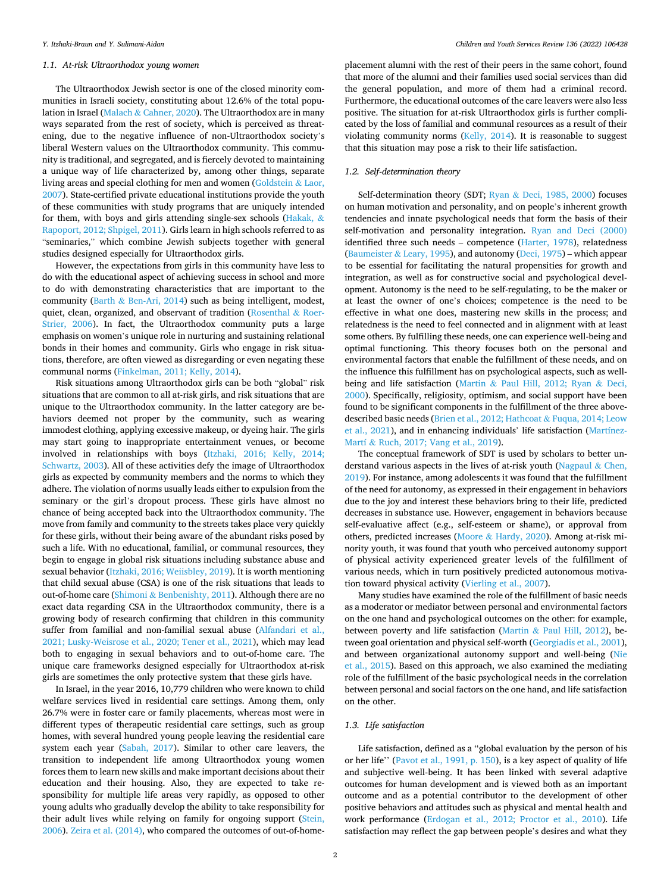#### *1.1. At-risk Ultraorthodox young women*

The Ultraorthodox Jewish sector is one of the closed minority communities in Israeli society, constituting about 12.6% of the total population in Israel (Malach & [Cahner, 2020](#page-7-0)). The Ultraorthodox are in many ways separated from the rest of society, which is perceived as threatening, due to the negative influence of non-Ultraorthodox society's liberal Western values on the Ultraorthodox community. This community is traditional, and segregated, and is fiercely devoted to maintaining a unique way of life characterized by, among other things, separate living areas and special clothing for men and women [\(Goldstein](#page-7-0) & Laor, [2007\)](#page-7-0). State-certified private educational institutions provide the youth of these communities with study programs that are uniquely intended for them, with boys and girls attending single-sex schools [\(Hakak,](#page-7-0) & [Rapoport, 2012; Shpigel, 2011](#page-7-0)). Girls learn in high schools referred to as "seminaries," which combine Jewish subjects together with general studies designed especially for Ultraorthodox girls.

However, the expectations from girls in this community have less to do with the educational aspect of achieving success in school and more to do with demonstrating characteristics that are important to the community (Barth  $\&$  [Ben-Ari, 2014\)](#page-6-0) such as being intelligent, modest, quiet, clean, organized, and observant of tradition [\(Rosenthal](#page-7-0) & Roer-[Strier, 2006](#page-7-0)). In fact, the Ultraorthodox community puts a large emphasis on women's unique role in nurturing and sustaining relational bonds in their homes and community. Girls who engage in risk situations, therefore, are often viewed as disregarding or even negating these communal norms [\(Finkelman, 2011; Kelly, 2014](#page-7-0)).

Risk situations among Ultraorthodox girls can be both "global" risk situations that are common to all at-risk girls, and risk situations that are unique to the Ultraorthodox community. In the latter category are behaviors deemed not proper by the community, such as wearing immodest clothing, applying excessive makeup, or dyeing hair. The girls may start going to inappropriate entertainment venues, or become involved in relationships with boys [\(Itzhaki, 2016; Kelly, 2014;](#page-7-0)  [Schwartz, 2003](#page-7-0)). All of these activities defy the image of Ultraorthodox girls as expected by community members and the norms to which they adhere. The violation of norms usually leads either to expulsion from the seminary or the girl's dropout process. These girls have almost no chance of being accepted back into the Ultraorthodox community. The move from family and community to the streets takes place very quickly for these girls, without their being aware of the abundant risks posed by such a life. With no educational, familial, or communal resources, they begin to engage in global risk situations including substance abuse and sexual behavior [\(Itzhaki, 2016; Weiisbley, 2019](#page-7-0)). It is worth mentioning that child sexual abuse (CSA) is one of the risk situations that leads to out-of-home care (Shimoni & [Benbenishty, 2011\)](#page-8-0). Although there are no exact data regarding CSA in the Ultraorthodox community, there is a growing body of research confirming that children in this community suffer from familial and non-familial sexual abuse [\(Alfandari et al.,](#page-6-0)  [2021; Lusky-Weisrose et al., 2020; Tener et al., 2021\)](#page-6-0), which may lead both to engaging in sexual behaviors and to out-of-home care. The unique care frameworks designed especially for Ultraorthodox at-risk girls are sometimes the only protective system that these girls have.

In Israel, in the year 2016, 10,779 children who were known to child welfare services lived in residential care settings. Among them, only 26.7% were in foster care or family placements, whereas most were in different types of therapeutic residential care settings, such as group homes, with several hundred young people leaving the residential care system each year ([Sabah, 2017](#page-8-0)). Similar to other care leavers, the transition to independent life among Ultraorthodox young women forces them to learn new skills and make important decisions about their education and their housing. Also, they are expected to take responsibility for multiple life areas very rapidly, as opposed to other young adults who gradually develop the ability to take responsibility for their adult lives while relying on family for ongoing support (Stein, [2006\)](#page-8-0). [Zeira et al. \(2014\)](#page-8-0), who compared the outcomes of out-of-homeplacement alumni with the rest of their peers in the same cohort, found that more of the alumni and their families used social services than did the general population, and more of them had a criminal record. Furthermore, the educational outcomes of the care leavers were also less positive. The situation for at-risk Ultraorthodox girls is further complicated by the loss of familial and communal resources as a result of their violating community norms ([Kelly, 2014](#page-7-0)). It is reasonable to suggest that this situation may pose a risk to their life satisfaction.

### *1.2. Self-determination theory*

Self-determination theory (SDT; Ryan & [Deci, 1985, 2000](#page-7-0)) focuses on human motivation and personality, and on people's inherent growth tendencies and innate psychological needs that form the basis of their self-motivation and personality integration. Ryan and Deci (2000) identified three such needs – competence [\(Harter, 1978\)](#page-7-0), relatedness ([Baumeister](#page-6-0) & Leary, 1995), and autonomy [\(Deci, 1975\)](#page-7-0) – which appear to be essential for facilitating the natural propensities for growth and integration, as well as for constructive social and psychological development. Autonomy is the need to be self-regulating, to be the maker or at least the owner of one's choices; competence is the need to be effective in what one does, mastering new skills in the process; and relatedness is the need to feel connected and in alignment with at least some others. By fulfilling these needs, one can experience well-being and optimal functioning. This theory focuses both on the personal and environmental factors that enable the fulfillment of these needs, and on the influence this fulfillment has on psychological aspects, such as wellbeing and life satisfaction (Martin & [Paul Hill, 2012; Ryan](#page-7-0) & Deci, [2000\)](#page-7-0). Specifically, religiosity, optimism, and social support have been found to be significant components in the fulfillment of the three abovedescribed basic needs [\(Brien et al., 2012; Hathcoat](#page-7-0) & Fuqua, 2014; Leow [et al., 2021](#page-7-0)), and in enhancing individuals' life satisfaction ([Martínez-](#page-7-0)Martí & [Ruch, 2017; Vang et al., 2019\)](#page-7-0).

The conceptual framework of SDT is used by scholars to better un-derstand various aspects in the lives of at-risk youth ([Nagpaul](#page-7-0)  $\&$  Chen, [2019\)](#page-7-0). For instance, among adolescents it was found that the fulfillment of the need for autonomy, as expressed in their engagement in behaviors due to the joy and interest these behaviors bring to their life, predicted decreases in substance use. However, engagement in behaviors because self-evaluative affect (e.g., self-esteem or shame), or approval from others, predicted increases (Moore & [Hardy, 2020](#page-7-0)). Among at-risk minority youth, it was found that youth who perceived autonomy support of physical activity experienced greater levels of the fulfillment of various needs, which in turn positively predicted autonomous motivation toward physical activity ([Vierling et al., 2007](#page-8-0)).

Many studies have examined the role of the fulfillment of basic needs as a moderator or mediator between personal and environmental factors on the one hand and psychological outcomes on the other: for example, between poverty and life satisfaction (Martin & [Paul Hill, 2012](#page-7-0)), between goal orientation and physical self-worth ([Georgiadis et al., 2001](#page-7-0)), and between organizational autonomy support and well-being ([Nie](#page-7-0)  [et al., 2015](#page-7-0)). Based on this approach, we also examined the mediating role of the fulfillment of the basic psychological needs in the correlation between personal and social factors on the one hand, and life satisfaction on the other.

#### *1.3. Life satisfaction*

Life satisfaction, defined as a ''global evaluation by the person of his or her life'' ([Pavot et al., 1991, p. 150\)](#page-7-0), is a key aspect of quality of life and subjective well-being. It has been linked with several adaptive outcomes for human development and is viewed both as an important outcome and as a potential contributor to the development of other positive behaviors and attitudes such as physical and mental health and work performance ([Erdogan et al., 2012; Proctor et al., 2010](#page-7-0)). Life satisfaction may reflect the gap between people's desires and what they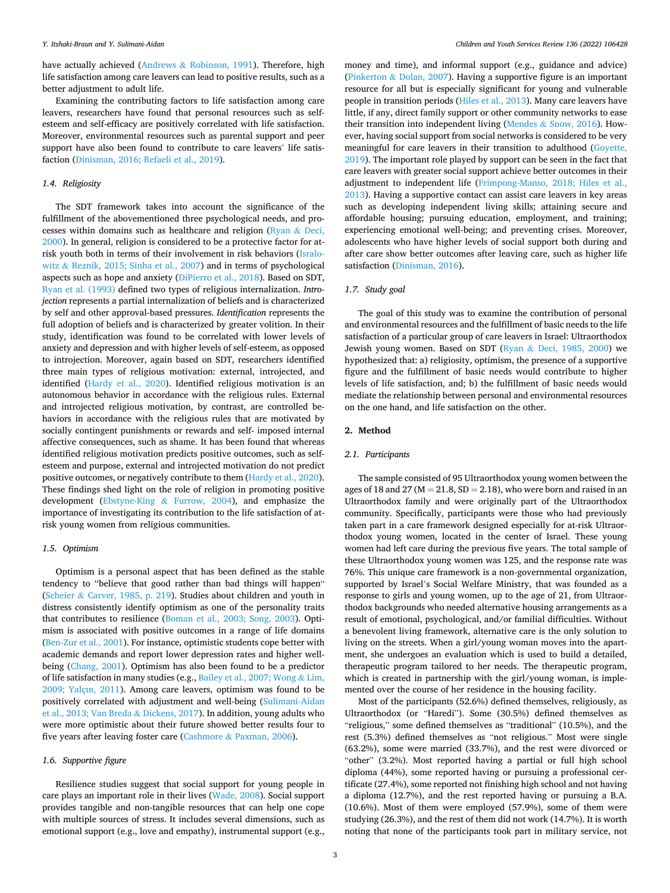have actually achieved (Andrews & [Robinson, 1991](#page-6-0)). Therefore, high life satisfaction among care leavers can lead to positive results, such as a better adjustment to adult life.

Examining the contributing factors to life satisfaction among care leavers, researchers have found that personal resources such as selfesteem and self-efficacy are positively correlated with life satisfaction. Moreover, environmental resources such as parental support and peer support have also been found to contribute to care leavers' life satisfaction [\(Dinisman, 2016; Refaeli et al., 2019\)](#page-7-0).

### *1.4. Religiosity*

The SDT framework takes into account the significance of the fulfillment of the abovementioned three psychological needs, and processes within domains such as healthcare and religion [\(Ryan](#page-7-0) & Deci, [2000\)](#page-7-0). In general, religion is considered to be a protective factor for atrisk youth both in terms of their involvement in risk behaviors [\(Isralo](#page-7-0)witz & [Reznik, 2015; Sinha et al., 2007](#page-7-0)) and in terms of psychological aspects such as hope and anxiety ([DiPierro et al., 2018\)](#page-7-0). Based on SDT, [Ryan et al. \(1993\)](#page-7-0) defined two types of religious internalization. *Introjection* represents a partial internalization of beliefs and is characterized by self and other approval-based pressures. *Identification* represents the full adoption of beliefs and is characterized by greater volition. In their study, identification was found to be correlated with lower levels of anxiety and depression and with higher levels of self-esteem, as opposed to introjection. Moreover, again based on SDT, researchers identified three main types of religious motivation: external, introjected, and identified [\(Hardy et al., 2020](#page-7-0)). Identified religious motivation is an autonomous behavior in accordance with the religious rules. External and introjected religious motivation, by contrast, are controlled behaviors in accordance with the religious rules that are motivated by socially contingent punishments or rewards and self- imposed internal affective consequences, such as shame. It has been found that whereas identified religious motivation predicts positive outcomes, such as selfesteem and purpose, external and introjected motivation do not predict positive outcomes, or negatively contribute to them [\(Hardy et al., 2020](#page-7-0)). These findings shed light on the role of religion in promoting positive development (Ebstyne-King & [Furrow, 2004](#page-7-0)), and emphasize the importance of investigating its contribution to the life satisfaction of atrisk young women from religious communities.

## *1.5. Optimism*

Optimism is a personal aspect that has been defined as the stable tendency to ''believe that good rather than bad things will happen" (Scheier & [Carver, 1985, p. 219](#page-8-0)). Studies about children and youth in distress consistently identify optimism as one of the personality traits that contributes to resilience [\(Boman et al., 2003; Song, 2003](#page-7-0)). Optimism is associated with positive outcomes in a range of life domains ([Ben-Zur et al., 2001\)](#page-7-0). For instance, optimistic students cope better with academic demands and report lower depression rates and higher wellbeing ([Chang, 2001](#page-7-0)). Optimism has also been found to be a predictor of life satisfaction in many studies (e.g., [Bailey et al., 2007; Wong](#page-6-0) & Lim, [2009; Yalçın, 2011\)](#page-6-0). Among care leavers, optimism was found to be positively correlated with adjustment and well-being [\(Sulimani-Aidan](#page-8-0)  [et al., 2013; Van Breda](#page-8-0) & Dickens, 2017). In addition, young adults who were more optimistic about their future showed better results four to five years after leaving foster care (Cashmore & [Paxman, 2006\)](#page-7-0).

#### *1.6. Supportive figure*

Resilience studies suggest that social support for young people in care plays an important role in their lives ([Wade, 2008](#page-8-0)). Social support provides tangible and non-tangible resources that can help one cope with multiple sources of stress. It includes several dimensions, such as emotional support (e.g., love and empathy), instrumental support (e.g., money and time), and informal support (e.g., guidance and advice) (Pinkerton & [Dolan, 2007\)](#page-7-0). Having a supportive figure is an important resource for all but is especially significant for young and vulnerable people in transition periods [\(Hiles et al., 2013\)](#page-7-0). Many care leavers have little, if any, direct family support or other community networks to ease their transition into independent living (Mendes  $&$  [Snow, 2016\)](#page-7-0). However, having social support from social networks is considered to be very meaningful for care leavers in their transition to adulthood [\(Goyette,](#page-7-0)  [2019\)](#page-7-0). The important role played by support can be seen in the fact that care leavers with greater social support achieve better outcomes in their adjustment to independent life ([Frimpong-Manso, 2018; Hiles et al.,](#page-7-0)  [2013\)](#page-7-0). Having a supportive contact can assist care leavers in key areas such as developing independent living skills; attaining secure and affordable housing; pursuing education, employment, and training; experiencing emotional well-being; and preventing crises. Moreover, adolescents who have higher levels of social support both during and after care show better outcomes after leaving care, such as higher life satisfaction ([Dinisman, 2016\)](#page-7-0).

# *1.7. Study goal*

The goal of this study was to examine the contribution of personal and environmental resources and the fulfillment of basic needs to the life satisfaction of a particular group of care leavers in Israel: Ultraorthodox Jewish young women. Based on SDT (Ryan & [Deci, 1985, 2000](#page-7-0)) we hypothesized that: a) religiosity, optimism, the presence of a supportive figure and the fulfillment of basic needs would contribute to higher levels of life satisfaction, and; b) the fulfillment of basic needs would mediate the relationship between personal and environmental resources on the one hand, and life satisfaction on the other.

# **2. Method**

# *2.1. Participants*

The sample consisted of 95 Ultraorthodox young women between the ages of 18 and 27 ( $M = 21.8$ ,  $SD = 2.18$ ), who were born and raised in an Ultraorthodox family and were originally part of the Ultraorthodox community. Specifically, participants were those who had previously taken part in a care framework designed especially for at-risk Ultraorthodox young women, located in the center of Israel. These young women had left care during the previous five years. The total sample of these Ultraorthodox young women was 125, and the response rate was 76%. This unique care framework is a non-governmental organization, supported by Israel's Social Welfare Ministry, that was founded as a response to girls and young women, up to the age of 21, from Ultraorthodox backgrounds who needed alternative housing arrangements as a result of emotional, psychological, and/or familial difficulties. Without a benevolent living framework, alternative care is the only solution to living on the streets. When a girl/young woman moves into the apartment, she undergoes an evaluation which is used to build a detailed, therapeutic program tailored to her needs. The therapeutic program, which is created in partnership with the girl/young woman, is implemented over the course of her residence in the housing facility.

Most of the participants (52.6%) defined themselves, religiously, as Ultraorthodox (or "Haredi"). Some (30.5%) defined themselves as "religious," some defined themselves as "traditional" (10.5%), and the rest (5.3%) defined themselves as "not religious." Most were single (63.2%), some were married (33.7%), and the rest were divorced or "other" (3.2%). Most reported having a partial or full high school diploma (44%), some reported having or pursuing a professional certificate (27.4%), some reported not finishing high school and not having a diploma (12.7%), and the rest reported having or pursuing a B.A. (10.6%). Most of them were employed (57.9%), some of them were studying (26.3%), and the rest of them did not work (14.7%). It is worth noting that none of the participants took part in military service, not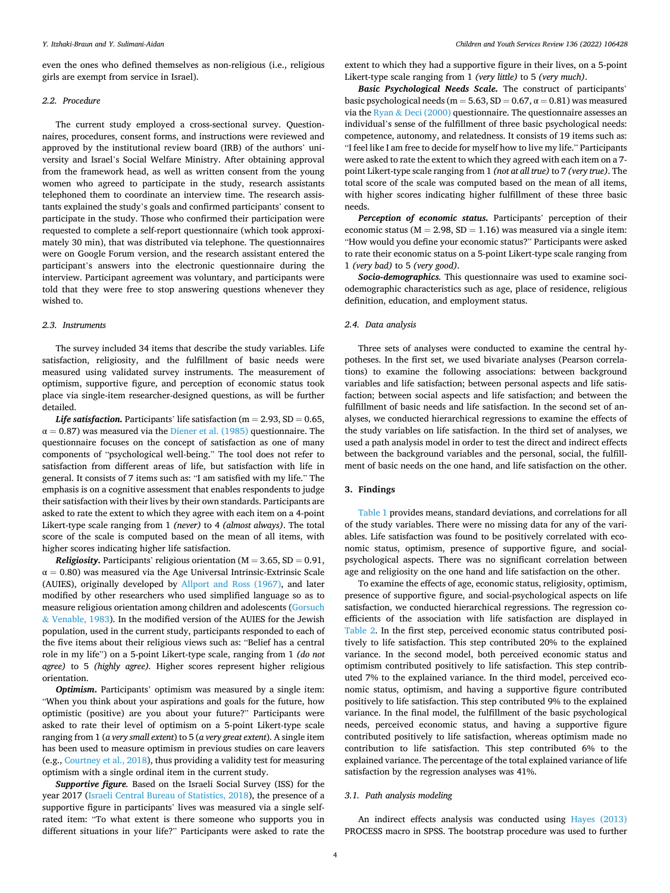even the ones who defined themselves as non-religious (i.e., religious girls are exempt from service in Israel).

# *2.2. Procedure*

The current study employed a cross-sectional survey. Questionnaires, procedures, consent forms, and instructions were reviewed and approved by the institutional review board (IRB) of the authors' university and Israel's Social Welfare Ministry. After obtaining approval from the framework head, as well as written consent from the young women who agreed to participate in the study, research assistants telephoned them to coordinate an interview time. The research assistants explained the study's goals and confirmed participants' consent to participate in the study. Those who confirmed their participation were requested to complete a self-report questionnaire (which took approximately 30 min), that was distributed via telephone. The questionnaires were on Google Forum version, and the research assistant entered the participant's answers into the electronic questionnaire during the interview. Participant agreement was voluntary, and participants were told that they were free to stop answering questions whenever they wished to.

#### *2.3. Instruments*

The survey included 34 items that describe the study variables. Life satisfaction, religiosity, and the fulfillment of basic needs were measured using validated survey instruments. The measurement of optimism, supportive figure, and perception of economic status took place via single-item researcher-designed questions, as will be further detailed.

*Life satisfaction.* Participants' life satisfaction (m = 2.93, SD = 0.65,  $\alpha$  = 0.87) was measured via the [Diener et al. \(1985\)](#page-7-0) questionnaire. The questionnaire focuses on the concept of satisfaction as one of many components of "psychological well-being." The tool does not refer to satisfaction from different areas of life, but satisfaction with life in general. It consists of 7 items such as: "I am satisfied with my life." The emphasis is on a cognitive assessment that enables respondents to judge their satisfaction with their lives by their own standards. Participants are asked to rate the extent to which they agree with each item on a 4-point Likert-type scale ranging from 1 *(never)* to 4 *(almost always)*. The total score of the scale is computed based on the mean of all items, with higher scores indicating higher life satisfaction.

*Religiosity.* Participants' religious orientation ( $M = 3.65$ ,  $SD = 0.91$ ,  $\alpha = 0.80$ ) was measured via the Age Universal Intrinsic-Extrinsic Scale (AUIES), originally developed by [Allport and Ross \(1967\),](#page-6-0) and later modified by other researchers who used simplified language so as to measure religious orientation among children and adolescents ([Gorsuch](#page-7-0)  & [Venable, 1983](#page-7-0)). In the modified version of the AUIES for the Jewish population, used in the current study, participants responded to each of the five items about their religious views such as: "Belief has a central role in my life") on a 5-point Likert-type scale, ranging from 1 *(do not agree)* to 5 *(highly agree).* Higher scores represent higher religious orientation.

*Optimism***.** Participants' optimism was measured by a single item: "When you think about your aspirations and goals for the future, how optimistic (positive) are you about your future?" Participants were asked to rate their level of optimism on a 5-point Likert-type scale ranging from 1 (*a very small extent*) to 5 (*a very great extent*). A single item has been used to measure optimism in previous studies on care leavers (e.g., [Courtney et al., 2018\)](#page-7-0), thus providing a validity test for measuring optimism with a single ordinal item in the current study.

*Supportive figure.* Based on the Israeli Social Survey (ISS) for the year 2017 ([Israeli Central Bureau of Statistics, 2018](#page-7-0)), the presence of a supportive figure in participants' lives was measured via a single selfrated item: "To what extent is there someone who supports you in different situations in your life?" Participants were asked to rate the

extent to which they had a supportive figure in their lives, on a 5-point Likert-type scale ranging from 1 *(very little)* to 5 *(very much)*.

*Basic Psychological Needs Scale.* The construct of participants' basic psychological needs (m =  $5.63$ , SD =  $0.67$ ,  $\alpha$  =  $0.81$ ) was measured via the Ryan & [Deci \(2000\)](#page-7-0) questionnaire. The questionnaire assesses an individual's sense of the fulfillment of three basic psychological needs: competence, autonomy, and relatedness. It consists of 19 items such as: "I feel like I am free to decide for myself how to live my life." Participants were asked to rate the extent to which they agreed with each item on a 7 point Likert-type scale ranging from 1 *(not at all true)* to 7 *(very true)*. The total score of the scale was computed based on the mean of all items, with higher scores indicating higher fulfillment of these three basic needs.

*Perception of economic status.* Participants' perception of their economic status ( $M = 2.98$ ,  $SD = 1.16$ ) was measured via a single item: "How would you define your economic status?" Participants were asked to rate their economic status on a 5-point Likert-type scale ranging from 1 *(very bad)* to 5 *(very good)*.

*Socio-demographics.* This questionnaire was used to examine sociodemographic characteristics such as age, place of residence, religious definition, education, and employment status.

# *2.4. Data analysis*

Three sets of analyses were conducted to examine the central hypotheses. In the first set, we used bivariate analyses (Pearson correlations) to examine the following associations: between background variables and life satisfaction; between personal aspects and life satisfaction; between social aspects and life satisfaction; and between the fulfillment of basic needs and life satisfaction. In the second set of analyses, we conducted hierarchical regressions to examine the effects of the study variables on life satisfaction. In the third set of analyses, we used a path analysis model in order to test the direct and indirect effects between the background variables and the personal, social, the fulfillment of basic needs on the one hand, and life satisfaction on the other.

#### **3. Findings**

[Table 1](#page-4-0) provides means, standard deviations, and correlations for all of the study variables. There were no missing data for any of the variables. Life satisfaction was found to be positively correlated with economic status, optimism, presence of supportive figure, and socialpsychological aspects. There was no significant correlation between age and religiosity on the one hand and life satisfaction on the other.

To examine the effects of age, economic status, religiosity, optimism, presence of supportive figure, and social-psychological aspects on life satisfaction, we conducted hierarchical regressions. The regression coefficients of the association with life satisfaction are displayed in [Table 2.](#page-4-0) In the first step, perceived economic status contributed positively to life satisfaction. This step contributed 20% to the explained variance. In the second model, both perceived economic status and optimism contributed positively to life satisfaction. This step contributed 7% to the explained variance. In the third model, perceived economic status, optimism, and having a supportive figure contributed positively to life satisfaction. This step contributed 9% to the explained variance. In the final model, the fulfillment of the basic psychological needs, perceived economic status, and having a supportive figure contributed positively to life satisfaction, whereas optimism made no contribution to life satisfaction. This step contributed 6% to the explained variance. The percentage of the total explained variance of life satisfaction by the regression analyses was 41%.

# *3.1. Path analysis modeling*

An indirect effects analysis was conducted using [Hayes \(2013\)](#page-7-0)  PROCESS macro in SPSS. The bootstrap procedure was used to further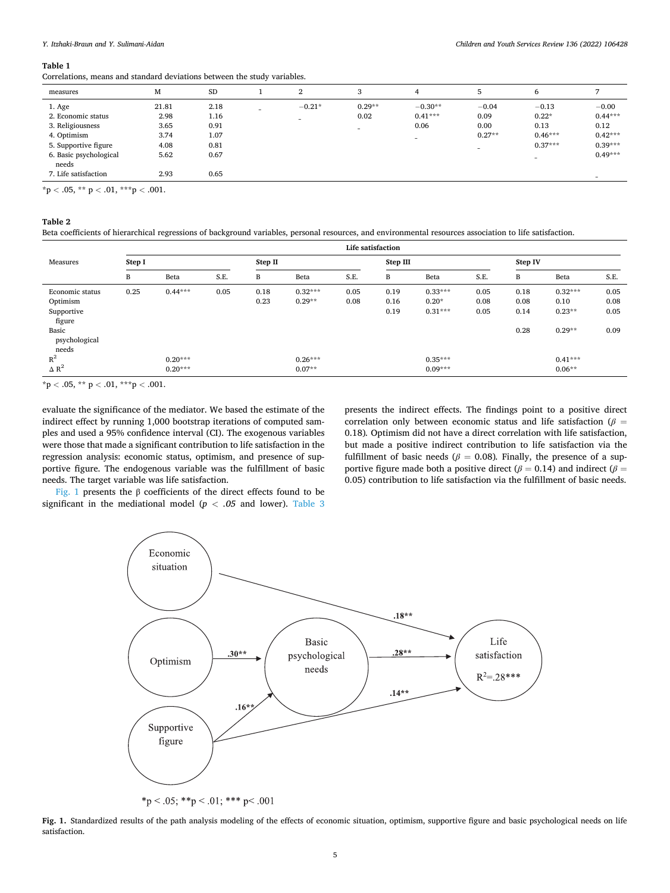#### <span id="page-4-0"></span>**Table 1**

Correlations, means and standard deviations between the study variables.

| measures                                                                                                          | M                                             | <b>SD</b>                                    |   | $\Omega$<br>▵                        | 3                                            | 4                              | 5                                                               | 6                                                    |                                                                     |
|-------------------------------------------------------------------------------------------------------------------|-----------------------------------------------|----------------------------------------------|---|--------------------------------------|----------------------------------------------|--------------------------------|-----------------------------------------------------------------|------------------------------------------------------|---------------------------------------------------------------------|
| 1. Age<br>2. Economic status<br>3. Religiousness<br>4. Optimism<br>5. Supportive figure<br>6. Basic psychological | 21.81<br>2.98<br>3.65<br>3.74<br>4.08<br>5.62 | 2.18<br>1.16<br>0.91<br>1.07<br>0.81<br>0.67 | - | $-0.21*$<br>$\overline{\phantom{a}}$ | $0.29**$<br>0.02<br>$\overline{\phantom{a}}$ | $-0.30**$<br>$0.41***$<br>0.06 | $-0.04$<br>0.09<br>0.00<br>$0.27**$<br>$\overline{\phantom{a}}$ | $-0.13$<br>$0.22*$<br>0.13<br>$0.46***$<br>$0.37***$ | $-0.00$<br>$0.44***$<br>0.12<br>$0.42***$<br>$0.39***$<br>$0.49***$ |
| needs<br>7. Life satisfaction                                                                                     | 2.93                                          | 0.65                                         |   |                                      |                                              |                                |                                                                 | $\overline{\phantom{a}}$                             |                                                                     |

\*p *<* .05, \*\* p *<* .01, \*\*\*p *<* .001.

# **Table 2**

Beta coefficients of hierarchical regressions of background variables, personal resources, and environmental resources association to life satisfaction.

|                                 | Life satisfaction |           |      |         |           |      |          |           |      |         |           |      |
|---------------------------------|-------------------|-----------|------|---------|-----------|------|----------|-----------|------|---------|-----------|------|
| Measures                        | Step I            |           |      | Step II |           |      | Step III |           |      | Step IV |           |      |
|                                 | B                 | Beta      | S.E. | B       | Beta      | S.E. | B        | Beta      | S.E. | B       | Beta      | S.E. |
| Economic status                 | 0.25              | $0.44***$ | 0.05 | 0.18    | $0.32***$ | 0.05 | 0.19     | $0.33***$ | 0.05 | 0.18    | $0.32***$ | 0.05 |
| Optimism                        |                   |           |      | 0.23    | $0.29**$  | 0.08 | 0.16     | $0.20*$   | 0.08 | 0.08    | 0.10      | 0.08 |
| Supportive<br>figure            |                   |           |      |         |           |      | 0.19     | $0.31***$ | 0.05 | 0.14    | $0.23**$  | 0.05 |
| Basic<br>psychological<br>needs |                   |           |      |         |           |      |          |           |      | 0.28    | $0.29**$  | 0.09 |
| $R^2$                           |                   | $0.20***$ |      |         | $0.26***$ |      |          | $0.35***$ |      |         | $0.41***$ |      |
| $\Delta$ R <sup>2</sup>         |                   | $0.20***$ |      |         | $0.07**$  |      |          | $0.09***$ |      |         | $0.06**$  |      |

 $*{\rm p}$  < .05,  $**{\rm p}$  < .01,  $***{\rm p}$  < .001.

evaluate the significance of the mediator. We based the estimate of the indirect effect by running 1,000 bootstrap iterations of computed samples and used a 95% confidence interval (CI). The exogenous variables were those that made a significant contribution to life satisfaction in the regression analysis: economic status, optimism, and presence of supportive figure. The endogenous variable was the fulfillment of basic needs. The target variable was life satisfaction.

presents the indirect effects. The findings point to a positive direct correlation only between economic status and life satisfaction (*β* = 0.18)*.* Optimism did not have a direct correlation with life satisfaction, but made a positive indirect contribution to life satisfaction via the fulfillment of basic needs ( $\beta$  = 0.08). Finally, the presence of a supportive figure made both a positive direct ( $\beta$  = 0.14) and indirect ( $\beta$  = 0.05) contribution to life satisfaction via the fulfillment of basic needs.

Fig. 1 presents the β coefficients of the direct effects found to be significant in the mediational model ( $p < .05$  and lower). Table 3



**Fig. 1.** Standardized results of the path analysis modeling of the effects of economic situation, optimism, supportive figure and basic psychological needs on life satisfaction.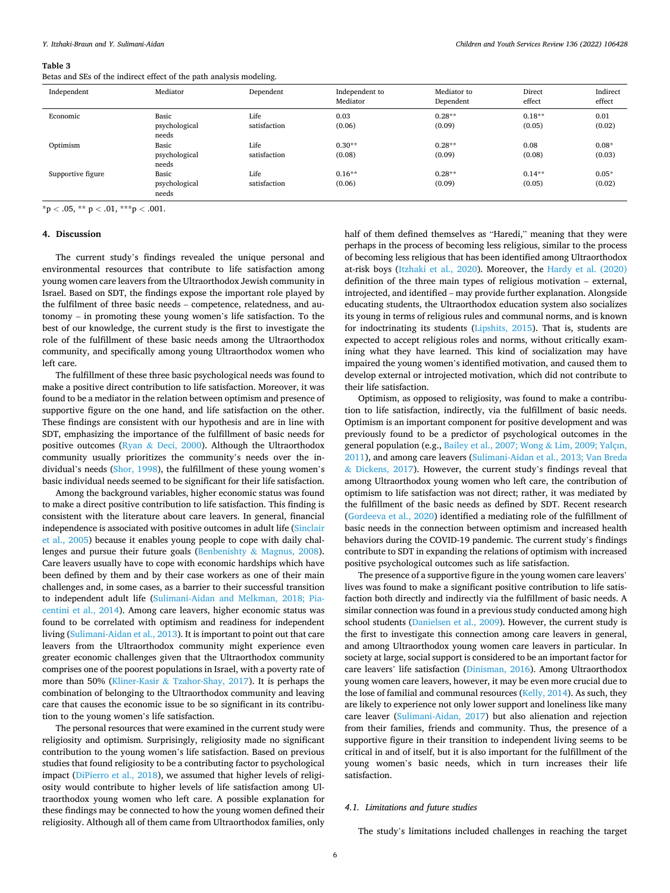#### <span id="page-5-0"></span>**Table 3**

Betas and SEs of the indirect effect of the path analysis modeling.

| Independent       | Mediator                        | Dependent            | Independent to<br>Mediator | Mediator to<br>Dependent | Direct<br>effect   | Indirect<br>effect |
|-------------------|---------------------------------|----------------------|----------------------------|--------------------------|--------------------|--------------------|
| Economic          | Basic<br>psychological<br>needs | Life<br>satisfaction | 0.03<br>(0.06)             | $0.28**$<br>(0.09)       | $0.18**$<br>(0.05) | 0.01<br>(0.02)     |
| Optimism          | Basic<br>psychological<br>needs | Life<br>satisfaction | $0.30**$<br>(0.08)         | $0.28**$<br>(0.09)       | 0.08<br>(0.08)     | $0.08*$<br>(0.03)  |
| Supportive figure | Basic<br>psychological<br>needs | Life<br>satisfaction | $0.16**$<br>(0.06)         | $0.28**$<br>(0.09)       | $0.14**$<br>(0.05) | $0.05*$<br>(0.02)  |

 $*$ p < .05,  $*$  $*$  p < .01,  $*$  $*$  $*$ p < .001.

#### **4. Discussion**

The current study's findings revealed the unique personal and environmental resources that contribute to life satisfaction among young women care leavers from the Ultraorthodox Jewish community in Israel. Based on SDT, the findings expose the important role played by the fulfilment of three basic needs – competence, relatedness, and autonomy – in promoting these young women's life satisfaction. To the best of our knowledge, the current study is the first to investigate the role of the fulfillment of these basic needs among the Ultraorthodox community, and specifically among young Ultraorthodox women who left care.

The fulfillment of these three basic psychological needs was found to make a positive direct contribution to life satisfaction. Moreover, it was found to be a mediator in the relation between optimism and presence of supportive figure on the one hand, and life satisfaction on the other. These findings are consistent with our hypothesis and are in line with SDT, emphasizing the importance of the fulfillment of basic needs for positive outcomes (Ryan & [Deci, 2000](#page-7-0)). Although the Ultraorthodox community usually prioritizes the community's needs over the individual's needs ([Shor, 1998](#page-8-0)), the fulfillment of these young women's basic individual needs seemed to be significant for their life satisfaction.

Among the background variables, higher economic status was found to make a direct positive contribution to life satisfaction. This finding is consistent with the literature about care leavers. In general, financial independence is associated with positive outcomes in adult life ([Sinclair](#page-8-0)  [et al., 2005\)](#page-8-0) because it enables young people to cope with daily challenges and pursue their future goals (Benbenishty & [Magnus, 2008](#page-6-0)). Care leavers usually have to cope with economic hardships which have been defined by them and by their case workers as one of their main challenges and, in some cases, as a barrier to their successful transition to independent adult life ([Sulimani-Aidan and Melkman, 2018; Pia](#page-8-0)[centini et al., 2014\)](#page-8-0). Among care leavers, higher economic status was found to be correlated with optimism and readiness for independent living [\(Sulimani-Aidan et al., 2013\)](#page-8-0). It is important to point out that care leavers from the Ultraorthodox community might experience even greater economic challenges given that the Ultraorthodox community comprises one of the poorest populations in Israel, with a poverty rate of more than 50% (Kliner-Kasir & [Tzahor-Shay, 2017](#page-7-0)). It is perhaps the combination of belonging to the Ultraorthodox community and leaving care that causes the economic issue to be so significant in its contribution to the young women's life satisfaction.

The personal resources that were examined in the current study were religiosity and optimism. Surprisingly, religiosity made no significant contribution to the young women's life satisfaction. Based on previous studies that found religiosity to be a contributing factor to psychological impact [\(DiPierro et al., 2018](#page-7-0)), we assumed that higher levels of religiosity would contribute to higher levels of life satisfaction among Ultraorthodox young women who left care. A possible explanation for these findings may be connected to how the young women defined their religiosity. Although all of them came from Ultraorthodox families, only half of them defined themselves as "Haredi," meaning that they were perhaps in the process of becoming less religious, similar to the process of becoming less religious that has been identified among Ultraorthodox at-risk boys ([Itzhaki et al., 2020](#page-7-0)). Moreover, the [Hardy et al. \(2020\)](#page-7-0)  definition of the three main types of religious motivation – external, introjected, and identified – may provide further explanation. Alongside educating students, the Ultraorthodox education system also socializes its young in terms of religious rules and communal norms, and is known for indoctrinating its students [\(Lipshits, 2015](#page-7-0)). That is, students are expected to accept religious roles and norms, without critically examining what they have learned. This kind of socialization may have impaired the young women's identified motivation, and caused them to develop external or introjected motivation, which did not contribute to their life satisfaction.

Optimism, as opposed to religiosity, was found to make a contribution to life satisfaction, indirectly, via the fulfillment of basic needs. Optimism is an important component for positive development and was previously found to be a predictor of psychological outcomes in the general population (e.g., [Bailey et al., 2007; Wong](#page-6-0) & Lim, 2009; Yalçın, [2011\)](#page-6-0), and among care leavers [\(Sulimani-Aidan et al., 2013; Van Breda](#page-8-0)  & [Dickens, 2017\)](#page-8-0). However, the current study's findings reveal that among Ultraorthodox young women who left care, the contribution of optimism to life satisfaction was not direct; rather, it was mediated by the fulfillment of the basic needs as defined by SDT. Recent research ([Gordeeva et al., 2020\)](#page-7-0) identified a mediating role of the fulfillment of basic needs in the connection between optimism and increased health behaviors during the COVID-19 pandemic. The current study's findings contribute to SDT in expanding the relations of optimism with increased positive psychological outcomes such as life satisfaction.

The presence of a supportive figure in the young women care leavers' lives was found to make a significant positive contribution to life satisfaction both directly and indirectly via the fulfillment of basic needs. A similar connection was found in a previous study conducted among high school students [\(Danielsen et al., 2009](#page-7-0)). However, the current study is the first to investigate this connection among care leavers in general, and among Ultraorthodox young women care leavers in particular. In society at large, social support is considered to be an important factor for care leavers' life satisfaction ([Dinisman, 2016](#page-7-0)). Among Ultraorthodox young women care leavers, however, it may be even more crucial due to the lose of familial and communal resources ([Kelly, 2014\)](#page-7-0). As such, they are likely to experience not only lower support and loneliness like many care leaver [\(Sulimani-Aidan, 2017\)](#page-8-0) but also alienation and rejection from their families, friends and community. Thus, the presence of a supportive figure in their transition to independent living seems to be critical in and of itself, but it is also important for the fulfillment of the young women's basic needs, which in turn increases their life satisfaction.

# *4.1. Limitations and future studies*

The study's limitations included challenges in reaching the target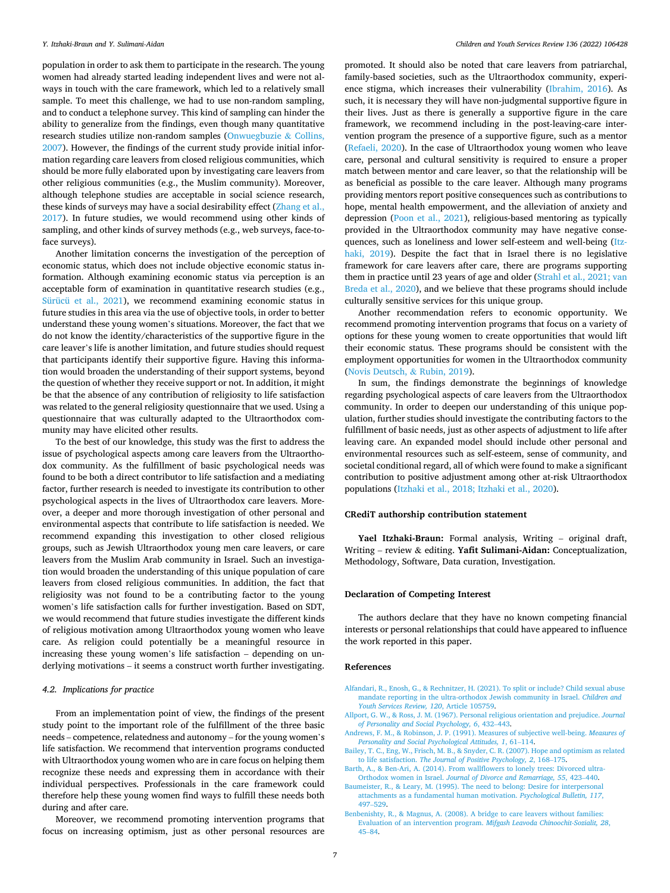<span id="page-6-0"></span>population in order to ask them to participate in the research. The young women had already started leading independent lives and were not always in touch with the care framework, which led to a relatively small sample. To meet this challenge, we had to use non-random sampling, and to conduct a telephone survey. This kind of sampling can hinder the ability to generalize from the findings, even though many quantitative research studies utilize non-random samples [\(Onwuegbuzie](#page-7-0) & Collins, [2007\)](#page-7-0). However, the findings of the current study provide initial information regarding care leavers from closed religious communities, which should be more fully elaborated upon by investigating care leavers from other religious communities (e.g., the Muslim community). Moreover, although telephone studies are acceptable in social science research, these kinds of surveys may have a social desirability effect [\(Zhang et al.,](#page-8-0)  [2017\)](#page-8-0). In future studies, we would recommend using other kinds of sampling, and other kinds of survey methods (e.g., web surveys, face-toface surveys).

Another limitation concerns the investigation of the perception of economic status, which does not include objective economic status information. Although examining economic status via perception is an acceptable form of examination in quantitative research studies (e.g., [Sürücü et al., 2021\)](#page-8-0), we recommend examining economic status in future studies in this area via the use of objective tools, in order to better understand these young women's situations. Moreover, the fact that we do not know the identity/characteristics of the supportive figure in the care leaver's life is another limitation, and future studies should request that participants identify their supportive figure. Having this information would broaden the understanding of their support systems, beyond the question of whether they receive support or not. In addition, it might be that the absence of any contribution of religiosity to life satisfaction was related to the general religiosity questionnaire that we used. Using a questionnaire that was culturally adapted to the Ultraorthodox community may have elicited other results.

To the best of our knowledge, this study was the first to address the issue of psychological aspects among care leavers from the Ultraorthodox community. As the fulfillment of basic psychological needs was found to be both a direct contributor to life satisfaction and a mediating factor, further research is needed to investigate its contribution to other psychological aspects in the lives of Ultraorthodox care leavers. Moreover, a deeper and more thorough investigation of other personal and environmental aspects that contribute to life satisfaction is needed. We recommend expanding this investigation to other closed religious groups, such as Jewish Ultraorthodox young men care leavers, or care leavers from the Muslim Arab community in Israel. Such an investigation would broaden the understanding of this unique population of care leavers from closed religious communities. In addition, the fact that religiosity was not found to be a contributing factor to the young women's life satisfaction calls for further investigation. Based on SDT, we would recommend that future studies investigate the different kinds of religious motivation among Ultraorthodox young women who leave care. As religion could potentially be a meaningful resource in increasing these young women's life satisfaction – depending on underlying motivations – it seems a construct worth further investigating.

# *4.2. Implications for practice*

From an implementation point of view, the findings of the present study point to the important role of the fulfillment of the three basic needs – competence, relatedness and autonomy – for the young women's life satisfaction. We recommend that intervention programs conducted with Ultraorthodox young women who are in care focus on helping them recognize these needs and expressing them in accordance with their individual perspectives. Professionals in the care framework could therefore help these young women find ways to fulfill these needs both during and after care.

Moreover, we recommend promoting intervention programs that focus on increasing optimism, just as other personal resources are

promoted. It should also be noted that care leavers from patriarchal, family-based societies, such as the Ultraorthodox community, experience stigma, which increases their vulnerability [\(Ibrahim, 2016](#page-7-0)). As such, it is necessary they will have non-judgmental supportive figure in their lives. Just as there is generally a supportive figure in the care framework, we recommend including in the post-leaving-care intervention program the presence of a supportive figure, such as a mentor ([Refaeli, 2020\)](#page-7-0). In the case of Ultraorthodox young women who leave care, personal and cultural sensitivity is required to ensure a proper match between mentor and care leaver, so that the relationship will be as beneficial as possible to the care leaver. Although many programs providing mentors report positive consequences such as contributions to hope, mental health empowerment, and the alleviation of anxiety and depression [\(Poon et al., 2021\)](#page-7-0), religious-based mentoring as typically provided in the Ultraorthodox community may have negative consequences, such as loneliness and lower self-esteem and well-being [\(Itz](#page-7-0)[haki, 2019\)](#page-7-0). Despite the fact that in Israel there is no legislative framework for care leavers after care, there are programs supporting them in practice until 23 years of age and older ([Strahl et al., 2021; van](#page-8-0)  [Breda et al., 2020\)](#page-8-0), and we believe that these programs should include culturally sensitive services for this unique group.

Another recommendation refers to economic opportunity. We recommend promoting intervention programs that focus on a variety of options for these young women to create opportunities that would lift their economic status. These programs should be consistent with the employment opportunities for women in the Ultraorthodox community ([Novis Deutsch,](#page-7-0) & Rubin, 2019).

In sum, the findings demonstrate the beginnings of knowledge regarding psychological aspects of care leavers from the Ultraorthodox community. In order to deepen our understanding of this unique population, further studies should investigate the contributing factors to the fulfillment of basic needs, just as other aspects of adjustment to life after leaving care. An expanded model should include other personal and environmental resources such as self-esteem, sense of community, and societal conditional regard, all of which were found to make a significant contribution to positive adjustment among other at-risk Ultraorthodox populations [\(Itzhaki et al., 2018; Itzhaki et al., 2020\)](#page-7-0).

#### **CRediT authorship contribution statement**

**Yael Itzhaki-Braun:** Formal analysis, Writing – original draft, Writing – review & editing. **Yafit Sulimani-Aidan:** Conceptualization, Methodology, Software, Data curation, Investigation.

#### **Declaration of Competing Interest**

The authors declare that they have no known competing financial interests or personal relationships that could have appeared to influence the work reported in this paper.

#### **References**

- [Alfandari, R., Enosh, G., & Rechnitzer, H. \(2021\). To split or include? Child sexual abuse](http://refhub.elsevier.com/S0190-7409(22)00064-0/h0005)  [mandate reporting in the ultra-orthodox Jewish community in Israel.](http://refhub.elsevier.com/S0190-7409(22)00064-0/h0005) *Children and [Youth Services Review, 120](http://refhub.elsevier.com/S0190-7409(22)00064-0/h0005)*, Article 105759.
- [Allport, G. W., & Ross, J. M. \(1967\). Personal religious orientation and prejudice.](http://refhub.elsevier.com/S0190-7409(22)00064-0/h0010) *Journal [of Personality and Social Psychology, 6](http://refhub.elsevier.com/S0190-7409(22)00064-0/h0010)*, 432–443.
- [Andrews, F. M., & Robinson, J. P. \(1991\). Measures of subjective well-being.](http://refhub.elsevier.com/S0190-7409(22)00064-0/h0015) *Measures of [Personality and Social Psychological Attitudes, 1](http://refhub.elsevier.com/S0190-7409(22)00064-0/h0015)*, 61–114.
- [Bailey, T. C., Eng, W., Frisch, M. B., & Snyder, C. R. \(2007\). Hope and optimism as related](http://refhub.elsevier.com/S0190-7409(22)00064-0/h0025)  to life satisfaction. *[The Journal of Positive Psychology, 2](http://refhub.elsevier.com/S0190-7409(22)00064-0/h0025)*, 168–175.
- [Barth, A., & Ben-Ari, A. \(2014\). From wallflowers to lonely trees: Divorced ultra-](http://refhub.elsevier.com/S0190-7409(22)00064-0/h0030)Orthodox women in Israel. *[Journal of Divorce and Remarriage, 55](http://refhub.elsevier.com/S0190-7409(22)00064-0/h0030)*, 423–440.
- [Baumeister, R., & Leary, M. \(1995\). The need to belong: Desire for interpersonal](http://refhub.elsevier.com/S0190-7409(22)00064-0/h0035)  [attachments as a fundamental human motivation.](http://refhub.elsevier.com/S0190-7409(22)00064-0/h0035) *Psychological Bulletin, 117*, 497–[529](http://refhub.elsevier.com/S0190-7409(22)00064-0/h0035).
- [Benbenishty, R., & Magnus, A. \(2008\). A bridge to care leavers without families:](http://refhub.elsevier.com/S0190-7409(22)00064-0/h0040)  [Evaluation of an intervention program.](http://refhub.elsevier.com/S0190-7409(22)00064-0/h0040) *Mifgash Leavoda Chinoochit-Sozialit, 28*, 45–[84](http://refhub.elsevier.com/S0190-7409(22)00064-0/h0040).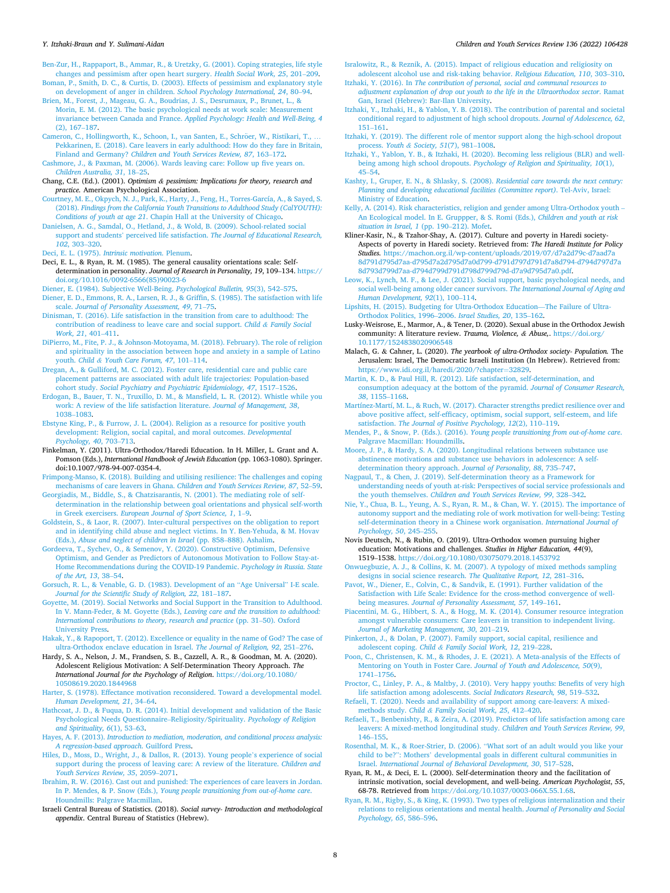#### <span id="page-7-0"></span>*Y. Itzhaki-Braun and Y. Sulimani-Aidan*

[Ben-Zur, H., Rappaport, B., Ammar, R., & Uretzky, G. \(2001\). Coping strategies, life style](http://refhub.elsevier.com/S0190-7409(22)00064-0/h0045)  [changes and pessimism after open heart surgery.](http://refhub.elsevier.com/S0190-7409(22)00064-0/h0045) *Health Social Work, 25*, 201–209.

[Boman, P., Smith, D. C., & Curtis, D. \(2003\). Effects of pessimism and explanatory style](http://refhub.elsevier.com/S0190-7409(22)00064-0/h0050)  [on development of anger in children.](http://refhub.elsevier.com/S0190-7409(22)00064-0/h0050) *School Psychology International, 24*, 80–94.

- [Brien, M., Forest, J., Mageau, G. A., Boudrias, J. S., Desrumaux, P., Brunet, L., &](http://refhub.elsevier.com/S0190-7409(22)00064-0/h0055) [Morin, E. M. \(2012\). The basic psychological needs at work scale: Measurement](http://refhub.elsevier.com/S0190-7409(22)00064-0/h0055) invariance between Canada and France. *[Applied Psychology: Health and Well-Being, 4](http://refhub.elsevier.com/S0190-7409(22)00064-0/h0055)*  [\(2\), 167](http://refhub.elsevier.com/S0190-7409(22)00064-0/h0055)–187.
- Cameron, C., Hollingworth, K., Schoon, I., van Santen, E., Schröer, W., Ristikari, T., [Pekkarinen, E. \(2018\). Care leavers in early adulthood: How do they fare in Britain,](http://refhub.elsevier.com/S0190-7409(22)00064-0/h0060)  Finland and Germany? *[Children and Youth Services Review, 87](http://refhub.elsevier.com/S0190-7409(22)00064-0/h0060)*, 163–172.

[Cashmore, J., & Paxman, M. \(2006\). Wards leaving care: Follow up five years on.](http://refhub.elsevier.com/S0190-7409(22)00064-0/h0065) *[Children Australia, 31](http://refhub.elsevier.com/S0190-7409(22)00064-0/h0065)*, 18–25.

- Chang, C.E. (Ed.). (2001). *Optimism & pessimism: Implications for theory, research and practice.* American Psychological Association.
- [Courtney, M. E., Okpych, N. J., Park, K., Harty, J., Feng, H., Torres-García, A., & Sayed, S.](http://refhub.elsevier.com/S0190-7409(22)00064-0/h0075)  (2018). *[Findings from the California Youth Transitions to Adulthood Study \(CalYOUTH\):](http://refhub.elsevier.com/S0190-7409(22)00064-0/h0075)  Conditions of youth at age 21*[. Chapin Hall at the University of Chicago](http://refhub.elsevier.com/S0190-7409(22)00064-0/h0075).
- [Danielsen, A. G., Samdal, O., Hetland, J., & Wold, B. \(2009\). School-related social](http://refhub.elsevier.com/S0190-7409(22)00064-0/h0080) support and students' perceived life satisfaction. *[The Journal of Educational Research,](http://refhub.elsevier.com/S0190-7409(22)00064-0/h0080)  102*[, 303](http://refhub.elsevier.com/S0190-7409(22)00064-0/h0080)–320.
- [Deci, E. L. \(1975\).](http://refhub.elsevier.com/S0190-7409(22)00064-0/h0085) *Intrinsic motivation*. Plenum.
- Deci, E. L., & Ryan, R. M. (1985). The general causality orientations scale: Selfdetermination in personality. *Journal of Research in Personality, 19*, 109–134. [https://](https://doi.org/10.1016/0092-6566(85)90023-6)  [doi.org/10.1016/0092-6566\(85\)90023-6](https://doi.org/10.1016/0092-6566(85)90023-6)

[Diener, E. \(1984\). Subjective Well-Being.](http://refhub.elsevier.com/S0190-7409(22)00064-0/h0095) *Psychological Bulletin, 95*(3), 542–575. [Diener, E. D., Emmons, R. A., Larsen, R. J., & Griffin, S. \(1985\). The satisfaction with life](http://refhub.elsevier.com/S0190-7409(22)00064-0/h0100)  scale. *[Journal of Personality Assessment, 49](http://refhub.elsevier.com/S0190-7409(22)00064-0/h0100)*, 71–75.

- [Dinisman, T. \(2016\). Life satisfaction in the transition from care to adulthood: The](http://refhub.elsevier.com/S0190-7409(22)00064-0/h0105) [contribution of readiness to leave care and social support.](http://refhub.elsevier.com/S0190-7409(22)00064-0/h0105) *Child & Family Social [Work, 21](http://refhub.elsevier.com/S0190-7409(22)00064-0/h0105)*, 401–411.
- [DiPierro, M., Fite, P. J., & Johnson-Motoyama, M. \(2018\). February\). The role of religion](http://refhub.elsevier.com/S0190-7409(22)00064-0/h0110)  [and spirituality in the association between hope and anxiety in a sample of Latino](http://refhub.elsevier.com/S0190-7409(22)00064-0/h0110)  youth. *Child & [Youth Care Forum, 47](http://refhub.elsevier.com/S0190-7409(22)00064-0/h0110)*, 101–114.
- [Dregan, A., & Gulliford, M. C. \(2012\). Foster care, residential care and public care](http://refhub.elsevier.com/S0190-7409(22)00064-0/h0115) [placement patterns are associated with adult life trajectories: Population-based](http://refhub.elsevier.com/S0190-7409(22)00064-0/h0115)  cohort study. *[Social Psychiatry and Psychiatric Epidemiology, 47](http://refhub.elsevier.com/S0190-7409(22)00064-0/h0115)*, 1517–1526.
- [Erdogan, B., Bauer, T. N., Truxillo, D. M., & Mansfield, L. R. \(2012\). Whistle while you](http://refhub.elsevier.com/S0190-7409(22)00064-0/h0120)  [work: A review of the life satisfaction literature.](http://refhub.elsevier.com/S0190-7409(22)00064-0/h0120) *Journal of Management, 38*, [1038](http://refhub.elsevier.com/S0190-7409(22)00064-0/h0120)–1083.
- [Ebstyne King, P., & Furrow, J. L. \(2004\). Religion as a resource for positive youth](http://refhub.elsevier.com/S0190-7409(22)00064-0/h0125)  [development: Religion, social capital, and moral outcomes.](http://refhub.elsevier.com/S0190-7409(22)00064-0/h0125) *Developmental [Psychology, 40](http://refhub.elsevier.com/S0190-7409(22)00064-0/h0125)*, 703–713.
- Finkelman, Y. (2011). Ultra-Orthodox/Haredi Education. In H. Miller, L. Grant and A. Pomson (Eds.), *International Handbook of Jewish Education* (pp. 1063-1080). Springer. doi:10.1007/978-94-007-0354-4.
- [Frimpong-Manso, K. \(2018\). Building and utilising resilience: The challenges and coping](http://refhub.elsevier.com/S0190-7409(22)00064-0/h0135)  [mechanisms of care leavers in Ghana.](http://refhub.elsevier.com/S0190-7409(22)00064-0/h0135) *Children and Youth Services Review, 87*, 52–59.
- [Georgiadis, M., Biddle, S., & Chatzisarantis, N. \(2001\). The mediating role of self](http://refhub.elsevier.com/S0190-7409(22)00064-0/h0140)[determination in the relationship between goal orientations and physical self-worth](http://refhub.elsevier.com/S0190-7409(22)00064-0/h0140)  in Greek exercisers. *[European Journal of Sport Science, 1](http://refhub.elsevier.com/S0190-7409(22)00064-0/h0140)*, 1–9.
- [Goldstein, S., & Laor, R. \(2007\). Inter-cultural perspectives on the obligation to report](http://refhub.elsevier.com/S0190-7409(22)00064-0/h0145)  [and in identifying child abuse and neglect victims. In Y. Ben-Yehuda, & M. Hovav](http://refhub.elsevier.com/S0190-7409(22)00064-0/h0145) (Eds.), *[Abuse and neglect of children in Israel](http://refhub.elsevier.com/S0190-7409(22)00064-0/h0145)* (pp. 858–888). Ashalim.
- [Gordeeva, T., Sychev, O., & Semenov, Y. \(2020\). Constructive Optimism, Defensive](http://refhub.elsevier.com/S0190-7409(22)00064-0/h0150) [Optimism, and Gender as Predictors of Autonomous Motivation to Follow Stay-at-](http://refhub.elsevier.com/S0190-7409(22)00064-0/h0150)[Home Recommendations during the COVID-19 Pandemic.](http://refhub.elsevier.com/S0190-7409(22)00064-0/h0150) *Psychology in Russia. State [of the Art, 13](http://refhub.elsevier.com/S0190-7409(22)00064-0/h0150)*, 38–54.
- [Gorsuch, R. L., & Venable, G. D. \(1983\). Development of an](http://refhub.elsevier.com/S0190-7409(22)00064-0/h0155) "Age Universal" I-E scale. *[Journal for the Scientific Study of Religion, 22](http://refhub.elsevier.com/S0190-7409(22)00064-0/h0155)*, 181–187.
- [Goyette, M. \(2019\). Social Networks and Social Support in the Transition to Adulthood.](http://refhub.elsevier.com/S0190-7409(22)00064-0/h0160)  In V. Mann-Feder, & M. Goyette (Eds.), *[Leaving care and the transition to adulthood:](http://refhub.elsevier.com/S0190-7409(22)00064-0/h0160) [International contributions to theory, research and practice](http://refhub.elsevier.com/S0190-7409(22)00064-0/h0160)* (pp. 31–50). Oxford [University Press](http://refhub.elsevier.com/S0190-7409(22)00064-0/h0160).
- [Hakak, Y., & Rapoport, T. \(2012\). Excellence or equality in the name of God? The case of](http://refhub.elsevier.com/S0190-7409(22)00064-0/h0165)  [ultra-Orthodox enclave education in Israel.](http://refhub.elsevier.com/S0190-7409(22)00064-0/h0165) *The Journal of Religion, 92*, 251–276.
- Hardy, S. A., Nelson, J. M., Frandsen, S. B., Cazzell, A. R., & Goodman, M. A. (2020). Adolescent Religious Motivation: A Self-Determination Theory Approach. *The International Journal for the Psychology of Religion*. [https://doi.org/10.1080/](https://doi.org/10.1080/10508619.2020.1844968) [10508619.2020.1844968](https://doi.org/10.1080/10508619.2020.1844968)
- [Harter, S. \(1978\). Effectance motivation reconsidered. Toward a developmental model.](http://refhub.elsevier.com/S0190-7409(22)00064-0/h0175) *[Human Development, 21](http://refhub.elsevier.com/S0190-7409(22)00064-0/h0175)*, 34–64.
- [Hathcoat, J. D., & Fuqua, D. R. \(2014\). Initial development and validation of the Basic](http://refhub.elsevier.com/S0190-7409(22)00064-0/h0180)  [Psychological Needs Questionnaire](http://refhub.elsevier.com/S0190-7409(22)00064-0/h0180)–Religiosity/Spirituality. *Psychology of Religion [and Spirituality, 6](http://refhub.elsevier.com/S0190-7409(22)00064-0/h0180)*(1), 53–63.
- Hayes, A. F. (2013). *[Introduction to mediation, moderation, and conditional process analysis:](http://refhub.elsevier.com/S0190-7409(22)00064-0/h0185)  [A regression-based approach](http://refhub.elsevier.com/S0190-7409(22)00064-0/h0185)*. Guilford Press.
- [Hiles, D., Moss, D., Wright, J., & Dallos, R. \(2013\). Young people](http://refhub.elsevier.com/S0190-7409(22)00064-0/h0190)'s experience of social [support during the process of leaving care: A review of the literature.](http://refhub.elsevier.com/S0190-7409(22)00064-0/h0190) *Children and [Youth Services Review, 35](http://refhub.elsevier.com/S0190-7409(22)00064-0/h0190)*, 2059–2071.
- [Ibrahim, R. W. \(2016\). Cast out and punished: The experiences of care leavers in Jordan.](http://refhub.elsevier.com/S0190-7409(22)00064-0/h0195)  In P. Mendes, & P. Snow (Eds.), *[Young people transitioning from out-of-home care](http://refhub.elsevier.com/S0190-7409(22)00064-0/h0195)*. [Houndmills: Palgrave Macmillan.](http://refhub.elsevier.com/S0190-7409(22)00064-0/h0195)
- Israeli Central Bureau of Statistics. (2018). *Social survey- Introduction and methodological appendix*. Central Bureau of Statistics (Hebrew).

#### *Children and Youth Services Review 136 (2022) 106428*

[Isralowitz, R., & Reznik, A. \(2015\). Impact of religious education and religiosity on](http://refhub.elsevier.com/S0190-7409(22)00064-0/h0205)  [adolescent alcohol use and risk-taking behavior.](http://refhub.elsevier.com/S0190-7409(22)00064-0/h0205) *Religious Education, 110*, 303–310.

- Itzhaki, Y. (2016). In *[The contribution of personal, social and communal resources to](http://refhub.elsevier.com/S0190-7409(22)00064-0/h9005) [adjustment explanation of drop out youth to the life in the Ultraorthodox sector](http://refhub.elsevier.com/S0190-7409(22)00064-0/h9005)*. Ramat [Gan, Israel \(Hebrew\): Bar-Ilan University.](http://refhub.elsevier.com/S0190-7409(22)00064-0/h9005)
- [Itzhaki, Y., Itzhaki, H., & Yablon, Y. B. \(2018\). The contribution of parental and societal](http://refhub.elsevier.com/S0190-7409(22)00064-0/h9006)  [conditional regard to adjustment of high school dropouts.](http://refhub.elsevier.com/S0190-7409(22)00064-0/h9006) *Journal of Adolescence, 62*, 151–[161](http://refhub.elsevier.com/S0190-7409(22)00064-0/h9006).
- [Itzhaki, Y. \(2019\). The different role of mentor support along the high-school dropout](http://refhub.elsevier.com/S0190-7409(22)00064-0/h9007)  process. *Youth & [Society, 51](http://refhub.elsevier.com/S0190-7409(22)00064-0/h9007)*(7), 981–1008.
- [Itzhaki, Y., Yablon, Y. B., & Itzhaki, H. \(2020\). Becoming less religious \(BLR\) and well](http://refhub.elsevier.com/S0190-7409(22)00064-0/h9008)being among high school dropouts. *[Psychology of Religion and Spirituality, 10](http://refhub.elsevier.com/S0190-7409(22)00064-0/h9008)*(1), 45–[54](http://refhub.elsevier.com/S0190-7409(22)00064-0/h9008).
- [Kashty, I., Gruper, E. N., & Shlasky, S. \(2008\).](http://refhub.elsevier.com/S0190-7409(22)00064-0/h0210) *Residential care towards the next century: [Planning and developing educational facilities \(Committee report\)](http://refhub.elsevier.com/S0190-7409(22)00064-0/h0210)*. Tel-Aviv, Israel: [Ministry of Education](http://refhub.elsevier.com/S0190-7409(22)00064-0/h0210).
- [Kelly, A. \(2014\). Risk characteristics, religion and gender among Ultra-Orthodox youth](http://refhub.elsevier.com/S0190-7409(22)00064-0/h0215)  [An Ecological model. In E. Gruppper, & S. Romi \(Eds.\),](http://refhub.elsevier.com/S0190-7409(22)00064-0/h0215) *Children and youth at risk [situation in Israel, 1](http://refhub.elsevier.com/S0190-7409(22)00064-0/h0215)* (pp. 190–212). Mofet.
- Kliner-Kasir, N., & Tzahor-Shay, A. (2017). Culture and poverty in Haredi society-Aspects of poverty in Haredi society. Retrieved from: *The Haredi Institute for Policy Studies.* [https://machon.org.il/wp-content/uploads/2019/07/d7a2d79c-d7aad7a](https://machon.org.il/wp-content/uploads/2019/07/d7a2d79c-d7aad7a8d791d795d7aa-d795d7a2d795d7a0d799-d791d797d791d7a8d794-d794d797d7a8d793d799d7aa-d794d799d791d798d799d79d-d7a9d795d7a0.pdf) [8d791d795d7aa-d795d7a2d795d7a0d799-d791d797d791d7a8d794-d794d797d7a](https://machon.org.il/wp-content/uploads/2019/07/d7a2d79c-d7aad7a8d791d795d7aa-d795d7a2d795d7a0d799-d791d797d791d7a8d794-d794d797d7a8d793d799d7aa-d794d799d791d798d799d79d-d7a9d795d7a0.pdf) [8d793d799d7aa-d794d799d791d798d799d79d-d7a9d795d7a0.pdf](https://machon.org.il/wp-content/uploads/2019/07/d7a2d79c-d7aad7a8d791d795d7aa-d795d7a2d795d7a0d799-d791d797d791d7a8d794-d794d797d7a8d793d799d7aa-d794d799d791d798d799d79d-d7a9d795d7a0.pdf).
- [Leow, K., Lynch, M. F., & Lee, J. \(2021\). Social support, basic psychological needs, and](http://refhub.elsevier.com/S0190-7409(22)00064-0/h0225)  [social well-being among older cancer survivors.](http://refhub.elsevier.com/S0190-7409(22)00064-0/h0225) *The International Journal of Aging and [Human Development, 92](http://refhub.elsevier.com/S0190-7409(22)00064-0/h0225)*(1), 100–114.
- [Lipshits, H. \(2015\). Budgeting for Ultra-Orthodox Education](http://refhub.elsevier.com/S0190-7409(22)00064-0/h0230)—The Failure of Ultra-[Orthodox Politics, 1996](http://refhub.elsevier.com/S0190-7409(22)00064-0/h0230)–2006. *Israel Studies, 20*, 135–162.
- Lusky-Weisrose, E., Marmor, A., & Tener, D. (2020). Sexual abuse in the Orthodox Jewish community: A literature review. *Trauma, Violence, & Abuse,*. [https://doi.org/](https://doi.org/10.1177/1524838020906548)  [10.1177/1524838020906548](https://doi.org/10.1177/1524838020906548)
- Malach, G. & Cahner, L. (2020). *The yearbook of ultra-Orthodox society- Population.* The Jerusalem: Israel, The Democratic Israeli Institution (In Hebrew). Retrieved from: [https://www.idi.org.il/haredi/2020/?chapter](https://www.idi.org.il/haredi/2020/?chapter=32829)=32829.
- [Martin, K. D., & Paul Hill, R. \(2012\). Life satisfaction, self-determination, and](http://refhub.elsevier.com/S0190-7409(22)00064-0/h0245)  [consumption adequacy at the bottom of the pyramid.](http://refhub.elsevier.com/S0190-7409(22)00064-0/h0245) *Journal of Consumer Research, 38*[, 1155](http://refhub.elsevier.com/S0190-7409(22)00064-0/h0245)–1168.
- [Martínez-Martí, M. L., & Ruch, W. \(2017\). Character strengths predict resilience over and](http://refhub.elsevier.com/S0190-7409(22)00064-0/h0250)  [above positive affect, self-efficacy, optimism, social support, self-esteem, and life](http://refhub.elsevier.com/S0190-7409(22)00064-0/h0250) satisfaction. *[The Journal of Positive Psychology, 12](http://refhub.elsevier.com/S0190-7409(22)00064-0/h0250)*(2), 110–119.
- Mendes, P., & Snow, P. (Eds.). (2016). *[Young people transitioning from out-of-home care](http://refhub.elsevier.com/S0190-7409(22)00064-0/h0255)*. [Palgrave Macmillan: Houndmills.](http://refhub.elsevier.com/S0190-7409(22)00064-0/h0255)
- [Moore, J. P., & Hardy, S. A. \(2020\). Longitudinal relations between substance use](http://refhub.elsevier.com/S0190-7409(22)00064-0/h0260)  [abstinence motivations and substance use behaviors in adolescence: A self](http://refhub.elsevier.com/S0190-7409(22)00064-0/h0260)[determination theory approach.](http://refhub.elsevier.com/S0190-7409(22)00064-0/h0260) *Journal of Personality, 88*, 735–747.
- [Nagpaul, T., & Chen, J. \(2019\). Self-determination theory as a Framework for](http://refhub.elsevier.com/S0190-7409(22)00064-0/h0265)  [understanding needs of youth at-risk: Perspectives of social service professionals and](http://refhub.elsevier.com/S0190-7409(22)00064-0/h0265)  the youth themselves. *[Children and Youth Services Review, 99](http://refhub.elsevier.com/S0190-7409(22)00064-0/h0265)*, 328–342.
- [Nie, Y., Chua, B. L., Yeung, A. S., Ryan, R. M., & Chan, W. Y. \(2015\). The importance of](http://refhub.elsevier.com/S0190-7409(22)00064-0/h0270)  [autonomy support and the mediating role of work motivation for well-being: Testing](http://refhub.elsevier.com/S0190-7409(22)00064-0/h0270)  [self-determination theory in a Chinese work organisation.](http://refhub.elsevier.com/S0190-7409(22)00064-0/h0270) *International Journal of [Psychology, 50](http://refhub.elsevier.com/S0190-7409(22)00064-0/h0270)*, 245–255.
- Novis Deutsch, N., & Rubin, O. (2019). Ultra-Orthodox women pursuing higher education: Motivations and challenges. *Studies in Higher Education, 44*(9), 1519–1538.<https://doi.org/10.1080/03075079.2018.1453792>
- [Onwuegbuzie, A. J., & Collins, K. M. \(2007\). A typology of mixed methods sampling](http://refhub.elsevier.com/S0190-7409(22)00064-0/h0280) [designs in social science research.](http://refhub.elsevier.com/S0190-7409(22)00064-0/h0280) *The Qualitative Report, 12*, 281–316.
- [Pavot, W., Diener, E., Colvin, C., & Sandvik, E. \(1991\). Further validation of the](http://refhub.elsevier.com/S0190-7409(22)00064-0/h0285) [Satisfaction with Life Scale: Evidence for the cross-method convergence of well](http://refhub.elsevier.com/S0190-7409(22)00064-0/h0285)being measures. *[Journal of Personality Assessment, 57](http://refhub.elsevier.com/S0190-7409(22)00064-0/h0285)*, 149–161.
- [Piacentini, M. G., Hibbert, S. A., & Hogg, M. K. \(2014\). Consumer resource integration](http://refhub.elsevier.com/S0190-7409(22)00064-0/h0290) [amongst vulnerable consumers: Care leavers in transition to independent living.](http://refhub.elsevier.com/S0190-7409(22)00064-0/h0290)  *[Journal of Marketing Management, 30](http://refhub.elsevier.com/S0190-7409(22)00064-0/h0290)*, 201–219.

[Pinkerton, J., & Dolan, P. \(2007\). Family support, social capital, resilience and](http://refhub.elsevier.com/S0190-7409(22)00064-0/h0295)  adolescent coping. *Child & [Family Social Work, 12](http://refhub.elsevier.com/S0190-7409(22)00064-0/h0295)*, 219–228.

- [Poon, C., Christensen, K. M., & Rhodes, J. E. \(2021\). A Meta-analysis of the Effects of](http://refhub.elsevier.com/S0190-7409(22)00064-0/h0299) Mentoring on Youth in Foster Care. *[Journal of Youth and Adolescence, 50](http://refhub.elsevier.com/S0190-7409(22)00064-0/h0299)*(9), [1741](http://refhub.elsevier.com/S0190-7409(22)00064-0/h0299)–1756.
- [Proctor, C., Linley, P. A., & Maltby, J. \(2010\). Very happy youths: Benefits of very high](http://refhub.elsevier.com/S0190-7409(22)00064-0/h0300)  [life satisfaction among adolescents.](http://refhub.elsevier.com/S0190-7409(22)00064-0/h0300) *Social Indicators Research, 98*, 519–532.
- [Refaeli, T. \(2020\). Needs and availability of support among care-leavers: A mixed](http://refhub.elsevier.com/S0190-7409(22)00064-0/h0305)methods study. *Child & [Family Social Work, 25](http://refhub.elsevier.com/S0190-7409(22)00064-0/h0305)*, 412–420.
- [Refaeli, T., Benbenishty, R., & Zeira, A. \(2019\). Predictors of life satisfaction among care](http://refhub.elsevier.com/S0190-7409(22)00064-0/h0310)  [leavers: A mixed-method longitudinal study.](http://refhub.elsevier.com/S0190-7409(22)00064-0/h0310) *Children and Youth Services Review, 99*, 146–[155](http://refhub.elsevier.com/S0190-7409(22)00064-0/h0310).
- [Rosenthal, M. K., & Roer-Strier, D. \(2006\).](http://refhub.elsevier.com/S0190-7409(22)00064-0/h0315) "What sort of an adult would you like your child to be?": Mothers' [developmental goals in different cultural communities in](http://refhub.elsevier.com/S0190-7409(22)00064-0/h0315)  Israel. *[International Journal of Behavioral Development, 30](http://refhub.elsevier.com/S0190-7409(22)00064-0/h0315)*, 517–528.
- Ryan, R. M., & Deci, E. L. (2000). Self-determination theory and the facilitation of intrinsic motivation, social development, and well-being. *American Psychologist*, *55*, 68-78. Retrieved from [https://doi.org/10.1037/0003-066X.55.1.68.](https://doi.org/10.1037/0003-066X.55.1.68)
- [Ryan, R. M., Rigby, S., & King, K. \(1993\). Two types of religious internalization and their](http://refhub.elsevier.com/S0190-7409(22)00064-0/h0325)  [relations to religious orientations and mental health.](http://refhub.elsevier.com/S0190-7409(22)00064-0/h0325) *Journal of Personality and Social [Psychology, 65](http://refhub.elsevier.com/S0190-7409(22)00064-0/h0325)*, 586–596.